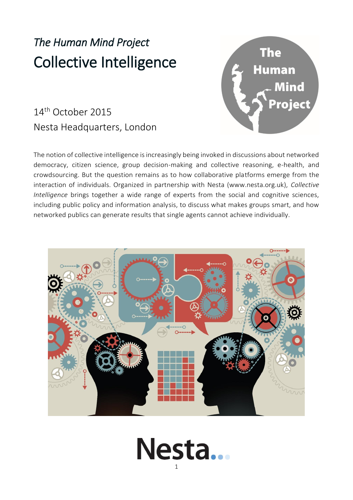# *The Human Mind Project* Collective Intelligence

## 14th October 2015 Nesta Headquarters, London







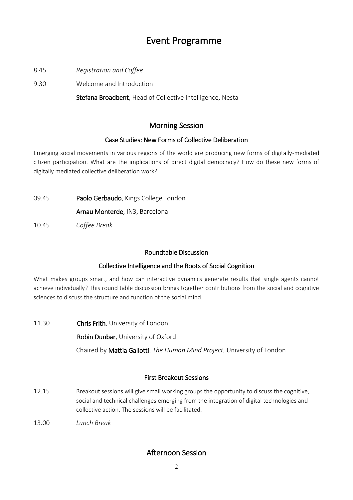### Event Programme

- 8.45 *Registration and Coffee*
- 9.30 Welcome and Introduction

Stefana Broadbent, Head of Collective Intelligence, Nesta

#### Morning Session

#### Case Studies: New Forms of Collective Deliberation

Emerging social movements in various regions of the world are producing new forms of digitally-mediated citizen participation. What are the implications of direct digital democracy? How do these new forms of digitally mediated collective deliberation work?

09.45 Paolo Gerbaudo, Kings College London

Arnau Monterde, IN3, Barcelona

10.45 *Coffee Break*

#### Roundtable Discussion

#### Collective Intelligence and the Roots of Social Cognition

What makes groups smart, and how can interactive dynamics generate results that single agents cannot achieve individually? This round table discussion brings together contributions from the social and cognitive sciences to discuss the structure and function of the social mind.

11.30 Chris Frith, University of London Robin Dunbar, University of Oxford Chaired by Mattia Gallotti, *The Human Mind Project*, University of London

#### First Breakout Sessions

- 12.15 Breakout sessions will give small working groups the opportunity to discuss the cognitive, social and technical challenges emerging from the integration of digital technologies and collective action. The sessions will be facilitated.
- 13.00 *Lunch Break*

#### Afternoon Session